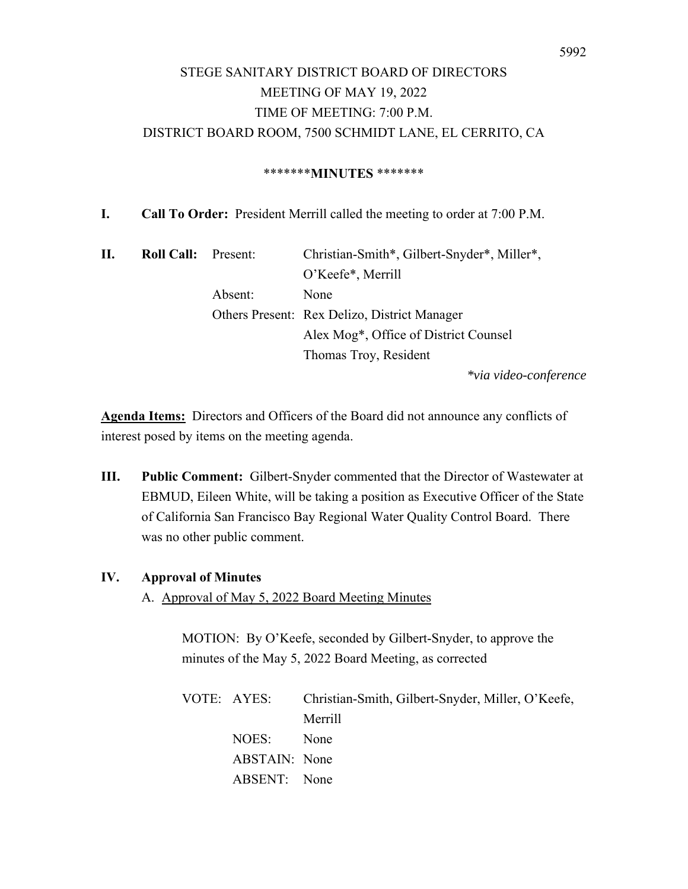#### \*\*\*\*\*\*\***MINUTES** \*\*\*\*\*\*\*

**I. Call To Order:** President Merrill called the meeting to order at 7:00 P.M.

| П. | <b>Roll Call:</b> Present: |         | Christian-Smith*, Gilbert-Snyder*, Miller*,         |  |
|----|----------------------------|---------|-----------------------------------------------------|--|
|    |                            |         | O'Keefe*, Merrill                                   |  |
|    |                            | Absent: | None                                                |  |
|    |                            |         | <b>Others Present: Rex Delizo, District Manager</b> |  |
|    |                            |         | Alex Mog*, Office of District Counsel               |  |
|    |                            |         | Thomas Troy, Resident                               |  |
|    |                            |         | *via video-conference                               |  |

**Agenda Items:** Directors and Officers of the Board did not announce any conflicts of interest posed by items on the meeting agenda.

**III. Public Comment:** Gilbert-Snyder commented that the Director of Wastewater at EBMUD, Eileen White, will be taking a position as Executive Officer of the State of California San Francisco Bay Regional Water Quality Control Board. There was no other public comment.

### **IV. Approval of Minutes**

A. Approval of May 5, 2022 Board Meeting Minutes

MOTION: By O'Keefe, seconded by Gilbert-Snyder, to approve the minutes of the May 5, 2022 Board Meeting, as corrected

| VOTE: AYES:   | Christian-Smith, Gilbert-Snyder, Miller, O'Keefe, |
|---------------|---------------------------------------------------|
|               | Merrill                                           |
| NOES:         | None                                              |
| ABSTAIN: None |                                                   |
| ABSENT: None  |                                                   |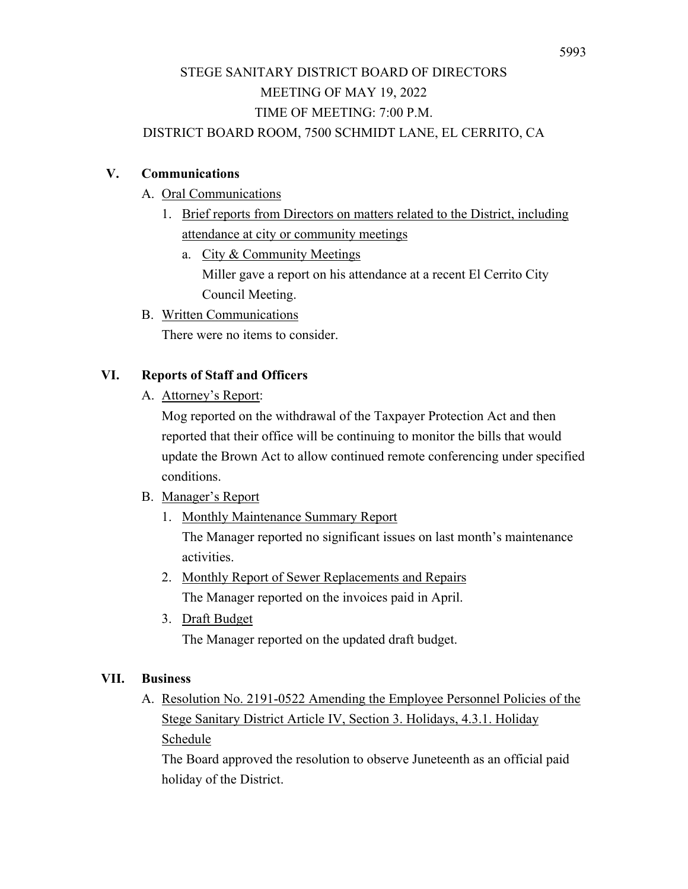### **V. Communications**

- A. Oral Communications
	- 1. Brief reports from Directors on matters related to the District, including attendance at city or community meetings
		- a. City & Community Meetings Miller gave a report on his attendance at a recent El Cerrito City Council Meeting.
- B. Written Communications There were no items to consider.

## **VI. Reports of Staff and Officers**

A. Attorney's Report:

Mog reported on the withdrawal of the Taxpayer Protection Act and then reported that their office will be continuing to monitor the bills that would update the Brown Act to allow continued remote conferencing under specified conditions.

- B. Manager's Report
	- 1. Monthly Maintenance Summary Report

The Manager reported no significant issues on last month's maintenance activities.

- 2. Monthly Report of Sewer Replacements and Repairs The Manager reported on the invoices paid in April.
- 3. Draft Budget

The Manager reported on the updated draft budget.

### **VII. Business**

A. Resolution No. 2191-0522 Amending the Employee Personnel Policies of the Stege Sanitary District Article IV, Section 3. Holidays, 4.3.1. Holiday Schedule

The Board approved the resolution to observe Juneteenth as an official paid holiday of the District.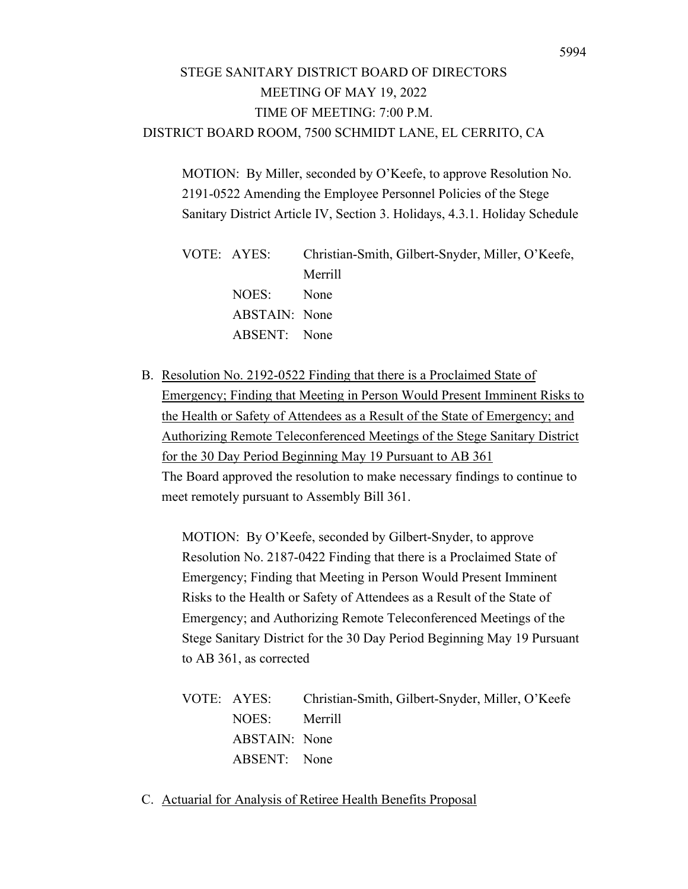MOTION: By Miller, seconded by O'Keefe, to approve Resolution No. 2191-0522 Amending the Employee Personnel Policies of the Stege Sanitary District Article IV, Section 3. Holidays, 4.3.1. Holiday Schedule

| VOTE: AYES:   | Christian-Smith, Gilbert-Snyder, Miller, O'Keefe, |
|---------------|---------------------------------------------------|
|               | Merrill                                           |
| NOES:         | None                                              |
| ABSTAIN: None |                                                   |
| ABSENT: None  |                                                   |

B. Resolution No. 2192-0522 Finding that there is a Proclaimed State of Emergency; Finding that Meeting in Person Would Present Imminent Risks to the Health or Safety of Attendees as a Result of the State of Emergency; and Authorizing Remote Teleconferenced Meetings of the Stege Sanitary District for the 30 Day Period Beginning May 19 Pursuant to AB 361 The Board approved the resolution to make necessary findings to continue to meet remotely pursuant to Assembly Bill 361.

MOTION: By O'Keefe, seconded by Gilbert-Snyder, to approve Resolution No. 2187-0422 Finding that there is a Proclaimed State of Emergency; Finding that Meeting in Person Would Present Imminent Risks to the Health or Safety of Attendees as a Result of the State of Emergency; and Authorizing Remote Teleconferenced Meetings of the Stege Sanitary District for the 30 Day Period Beginning May 19 Pursuant to AB 361, as corrected

|               | VOTE: AYES: Christian-Smith, Gilbert-Snyder, Miller, O'Keefe |
|---------------|--------------------------------------------------------------|
| NOES: Merrill |                                                              |
| ABSTAIN: None |                                                              |
| ABSENT: None  |                                                              |

C. Actuarial for Analysis of Retiree Health Benefits Proposal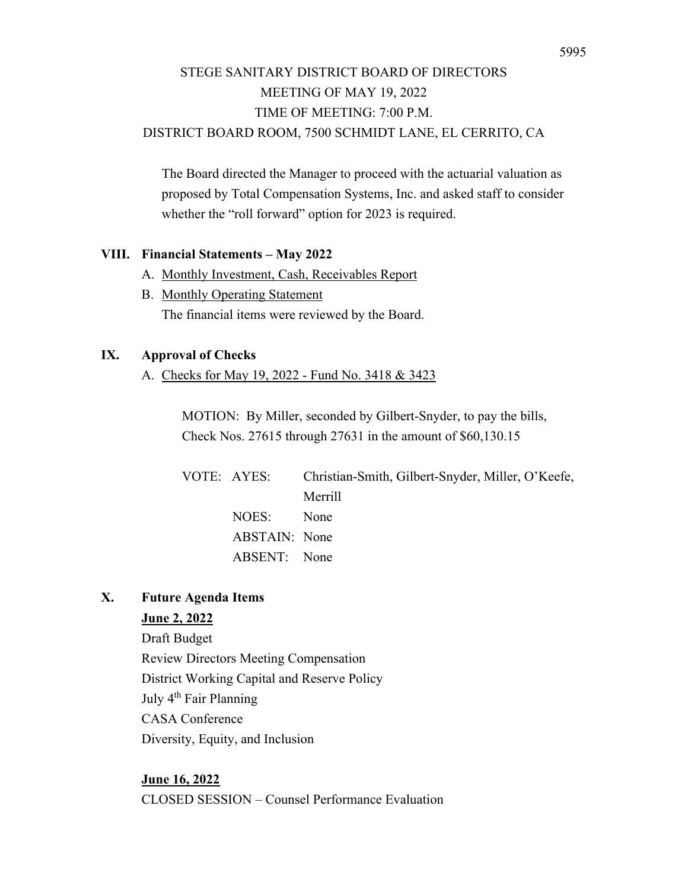The Board directed the Manager to proceed with the actuarial valuation as proposed by Total Compensation Systems, Inc. and asked staff to consider whether the "roll forward" option for 2023 is required.

### **VIII. Financial Statements – May 2022**

- A. Monthly Investment, Cash, Receivables Report
- B. Monthly Operating Statement The financial items were reviewed by the Board.

## **IX. Approval of Checks**

A. Checks for May 19, 2022 - Fund No. 3418 & 3423

MOTION: By Miller, seconded by Gilbert-Snyder, to pay the bills, Check Nos. 27615 through 27631 in the amount of \$60,130.15

| VOTE: AYES:   | Christian-Smith, Gilbert-Snyder, Miller, O'Keefe, |
|---------------|---------------------------------------------------|
|               | Merrill                                           |
| NOES:         | None                                              |
| ABSTAIN: None |                                                   |
| ABSENT: None  |                                                   |

## **X. Future Agenda Items**

### **June 2, 2022**

Draft Budget Review Directors Meeting Compensation District Working Capital and Reserve Policy July 4<sup>th</sup> Fair Planning CASA Conference Diversity, Equity, and Inclusion

## **June 16, 2022**

CLOSED SESSION – Counsel Performance Evaluation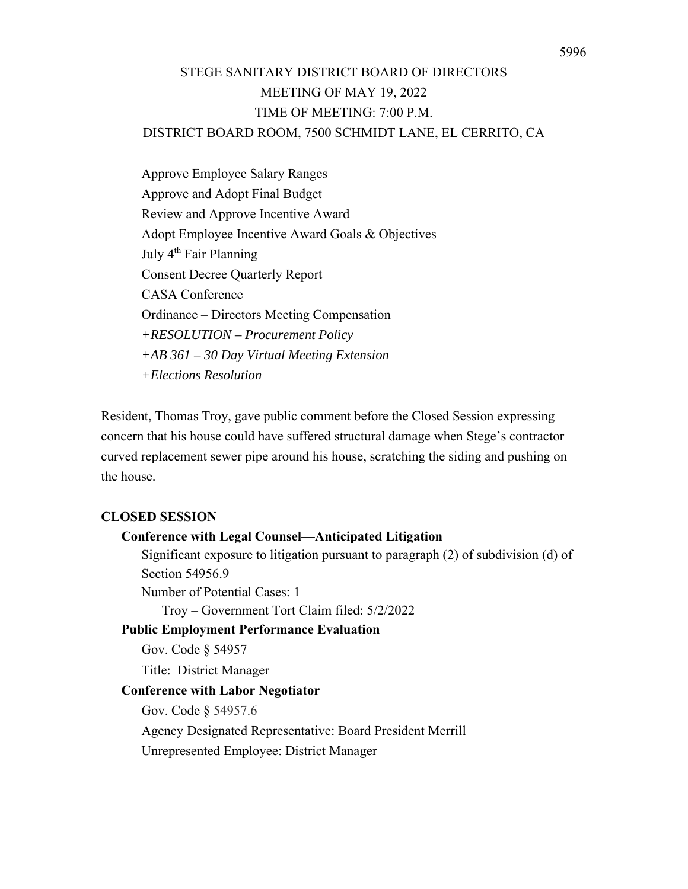Approve Employee Salary Ranges Approve and Adopt Final Budget Review and Approve Incentive Award Adopt Employee Incentive Award Goals & Objectives July 4<sup>th</sup> Fair Planning Consent Decree Quarterly Report CASA Conference Ordinance – Directors Meeting Compensation *+RESOLUTION – Procurement Policy +AB 361 – 30 Day Virtual Meeting Extension +Elections Resolution* 

Resident, Thomas Troy, gave public comment before the Closed Session expressing concern that his house could have suffered structural damage when Stege's contractor curved replacement sewer pipe around his house, scratching the siding and pushing on the house.

#### **CLOSED SESSION**

### **Conference with Legal Counsel—Anticipated Litigation**

Significant exposure to litigation pursuant to paragraph (2) of subdivision (d) of Section 54956.9

Number of Potential Cases: 1

Troy – Government Tort Claim filed: 5/2/2022

### **Public Employment Performance Evaluation**

Gov. Code § 54957

Title: District Manager

#### **Conference with Labor Negotiator**

Gov. Code § 54957.6

Agency Designated Representative: Board President Merrill Unrepresented Employee: District Manager